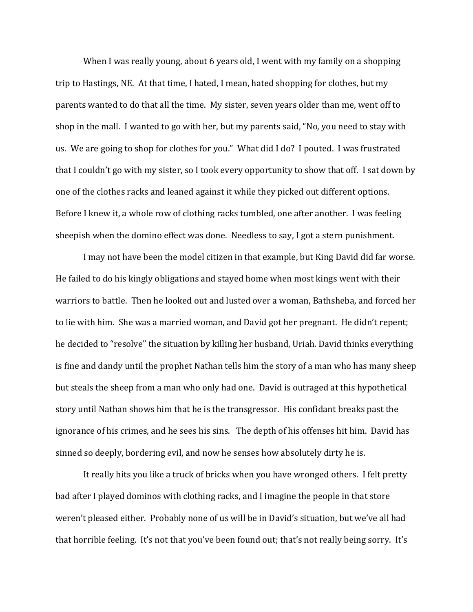When I was really young, about 6 years old, I went with my family on a shopping trip to Hastings, NE. At that time, I hated, I mean, hated shopping for clothes, but my parents wanted to do that all the time. My sister, seven years older than me, went off to shop in the mall. I wanted to go with her, but my parents said, "No, you need to stay with us. We are going to shop for clothes for you." What did I do? I pouted. I was frustrated that I couldn't go with my sister, so I took every opportunity to show that off. I sat down by one of the clothes racks and leaned against it while they picked out different options. Before I knew it, a whole row of clothing racks tumbled, one after another. I was feeling sheepish when the domino effect was done. Needless to say, I got a stern punishment.

 I may not have been the model citizen in that example, but King David did far worse. He failed to do his kingly obligations and stayed home when most kings went with their warriors to battle. Then he looked out and lusted over a woman, Bathsheba, and forced her to lie with him. She was a married woman, and David got her pregnant. He didn't repent; he decided to "resolve" the situation by killing her husband, Uriah. David thinks everything is fine and dandy until the prophet Nathan tells him the story of a man who has many sheep but steals the sheep from a man who only had one. David is outraged at this hypothetical story until Nathan shows him that he is the transgressor. His confidant breaks past the ignorance of his crimes, and he sees his sins. The depth of his offenses hit him. David has sinned so deeply, bordering evil, and now he senses how absolutely dirty he is.

 It really hits you like a truck of bricks when you have wronged others. I felt pretty bad after I played dominos with clothing racks, and I imagine the people in that store weren't pleased either. Probably none of us will be in David's situation, but we've all had that horrible feeling. It's not that you've been found out; that's not really being sorry. It's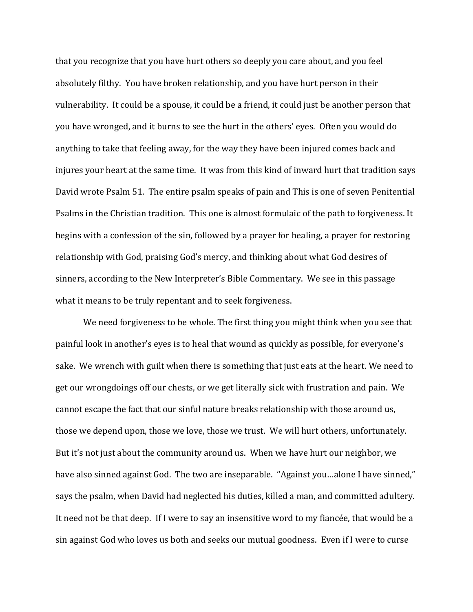that you recognize that you have hurt others so deeply you care about, and you feel absolutely filthy. You have broken relationship, and you have hurt person in their vulnerability. It could be a spouse, it could be a friend, it could just be another person that you have wronged, and it burns to see the hurt in the others' eyes. Often you would do anything to take that feeling away, for the way they have been injured comes back and injures your heart at the same time. It was from this kind of inward hurt that tradition says David wrote Psalm 51. The entire psalm speaks of pain and This is one of seven Penitential Psalms in the Christian tradition. This one is almost formulaic of the path to forgiveness. It begins with a confession of the sin, followed by a prayer for healing, a prayer for restoring relationship with God, praising God's mercy, and thinking about what God desires of sinners, according to the New Interpreter's Bible Commentary. We see in this passage what it means to be truly repentant and to seek forgiveness.

 We need forgiveness to be whole. The first thing you might think when you see that painful look in another's eyes is to heal that wound as quickly as possible, for everyone's sake. We wrench with guilt when there is something that just eats at the heart. We need to get our wrongdoings off our chests, or we get literally sick with frustration and pain. We cannot escape the fact that our sinful nature breaks relationship with those around us, those we depend upon, those we love, those we trust. We will hurt others, unfortunately. But it's not just about the community around us. When we have hurt our neighbor, we have also sinned against God. The two are inseparable. "Against you...alone I have sinned," says the psalm, when David had neglected his duties, killed a man, and committed adultery. It need not be that deep. If I were to say an insensitive word to my fiancée, that would be a sin against God who loves us both and seeks our mutual goodness. Even if I were to curse